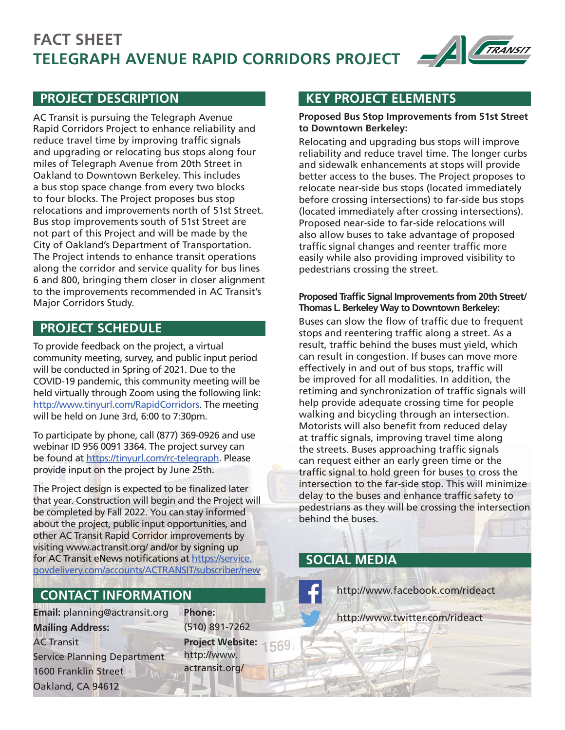# **TELEGRAPH AVENUE RAPID CORRIDORS PROJECT FACT SHEET**



AC Transit is pursuing the Telegraph Avenue Rapid Corridors Project to enhance reliability and reduce travel time by improving traffic signals and upgrading or relocating bus stops along four miles of Telegraph Avenue from 20th Street in Oakland to Downtown Berkeley. This includes a bus stop space change from every two blocks to four blocks. The Project proposes bus stop relocations and improvements north of 51st Street. Bus stop improvements south of 51st Street are not part of this Project and will be made by the City of Oakland's Department of Transportation. The Project intends to enhance transit operations along the corridor and service quality for bus lines 6 and 800, bringing them closer in closer alignment to the improvements recommended in AC Transit's Major Corridors Study.

## **PROJECT SCHEDULE**

To provide feedback on the project, a virtual community meeting, survey, and public input period will be conducted in Spring of 2021. Due to the COVID-19 pandemic, this community meeting will be held virtually through Zoom using the following link: http://www.tinyurl.com/RapidCorridors. The meeting will be held on June 3rd, 6:00 to 7:30pm.

To participate by phone, call (877) 369-0926 and use webinar ID 956 0091 3364. The project survey can be found at https://tinyurl.com/rc-telegraph. Please provide input on the project by June 25th.

The Project design is expected to be finalized later that year. Construction will begin and the Project will be completed by Fall 2022. You can stay informed about the project, public input opportunities, and other AC Transit Rapid Corridor improvements by visiting www.actransit.org/ and/or by signing up for AC Transit eNews notifications at https://service. govdelivery.com/accounts/ACTRANSIT/subscriber/new

# **CONTACT INFORMATION**

**Email:** planning@actransit.org **Mailing Address:**  AC Transit Service Planning Department 1600 Franklin Street Oakland, CA 94612

**Phone:**  (510) 891-7262 **Project Website:**  569 http://www. actransit.org/

#### **PROJECT DESCRIPTION KEY PROJECT ELEMENTS**

#### **Proposed Bus Stop Improvements from 51st Street to Downtown Berkeley:**

Relocating and upgrading bus stops will improve reliability and reduce travel time. The longer curbs and sidewalk enhancements at stops will provide better access to the buses. The Project proposes to relocate near-side bus stops (located immediately before crossing intersections) to far-side bus stops (located immediately after crossing intersections). Proposed near-side to far-side relocations will also allow buses to take advantage of proposed traffic signal changes and reenter traffic more easily while also providing improved visibility to pedestrians crossing the street.

#### **Proposed Traffic Signal Improvements from 20th Street/ Thomas L. Berkeley Way to Downtown Berkeley:**

Buses can slow the flow of traffic due to frequent stops and reentering traffic along a street. As a result, traffic behind the buses must yield, which can result in congestion. If buses can move more effectively in and out of bus stops, traffic will be improved for all modalities. In addition, the retiming and synchronization of traffic signals will help provide adequate crossing time for people walking and bicycling through an intersection. Motorists will also benefit from reduced delay at traffic signals, improving travel time along the streets. Buses approaching traffic signals can request either an early green time or the traffic signal to hold green for buses to cross the intersection to the far-side stop. This will minimize delay to the buses and enhance traffic safety to pedestrians as they will be crossing the intersection behind the buses.

### **SOCIAL MEDIA**

http://www.facebook.com/rideact

http://www.twitter.com/rideact